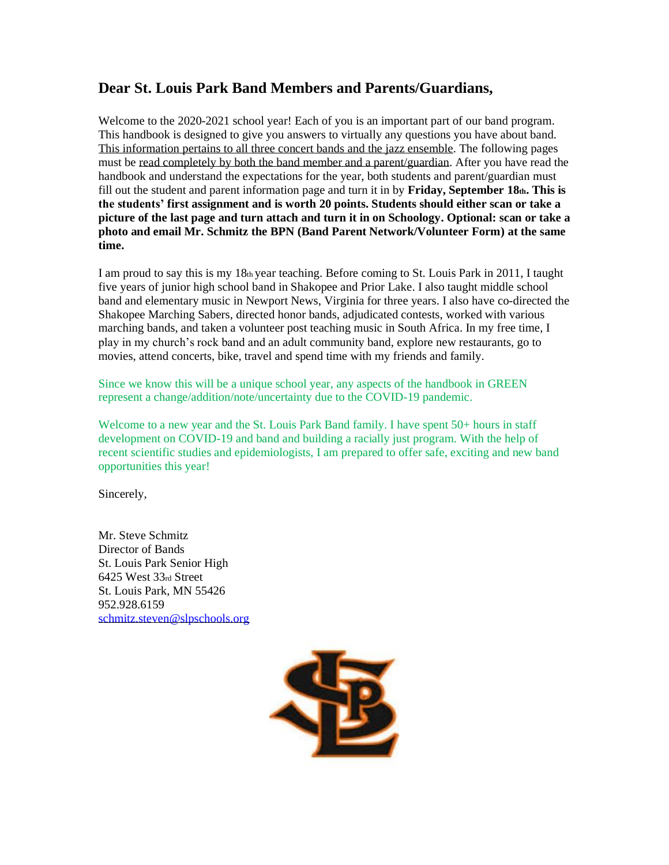# **Dear St. Louis Park Band Members and Parents/Guardians,**

Welcome to the 2020-2021 school year! Each of you is an important part of our band program. This handbook is designed to give you answers to virtually any questions you have about band. This information pertains to all three concert bands and the jazz ensemble. The following pages must be read completely by both the band member and a parent/guardian. After you have read the handbook and understand the expectations for the year, both students and parent/guardian must fill out the student and parent information page and turn it in by **Friday, September 18th. This is the students' first assignment and is worth 20 points. Students should either scan or take a picture of the last page and turn attach and turn it in on Schoology. Optional: scan or take a photo and email Mr. Schmitz the BPN (Band Parent Network/Volunteer Form) at the same time.**

I am proud to say this is my 18th year teaching. Before coming to St. Louis Park in 2011, I taught five years of junior high school band in Shakopee and Prior Lake. I also taught middle school band and elementary music in Newport News, Virginia for three years. I also have co-directed the Shakopee Marching Sabers, directed honor bands, adjudicated contests, worked with various marching bands, and taken a volunteer post teaching music in South Africa. In my free time, I play in my church's rock band and an adult community band, explore new restaurants, go to movies, attend concerts, bike, travel and spend time with my friends and family.

Since we know this will be a unique school year, any aspects of the handbook in GREEN represent a change/addition/note/uncertainty due to the COVID-19 pandemic.

Welcome to a new year and the St. Louis Park Band family. I have spent 50+ hours in staff development on COVID-19 and band and building a racially just program. With the help of recent scientific studies and epidemiologists, I am prepared to offer safe, exciting and new band opportunities this year!

Sincerely,

Mr. Steve Schmitz Director of Bands St. Louis Park Senior High 6425 West 33rd Street St. Louis Park, MN 55426 952.928.6159 [schmitz.steven@slpschools.org](mailto:schmitz.steven@slpschools.org)

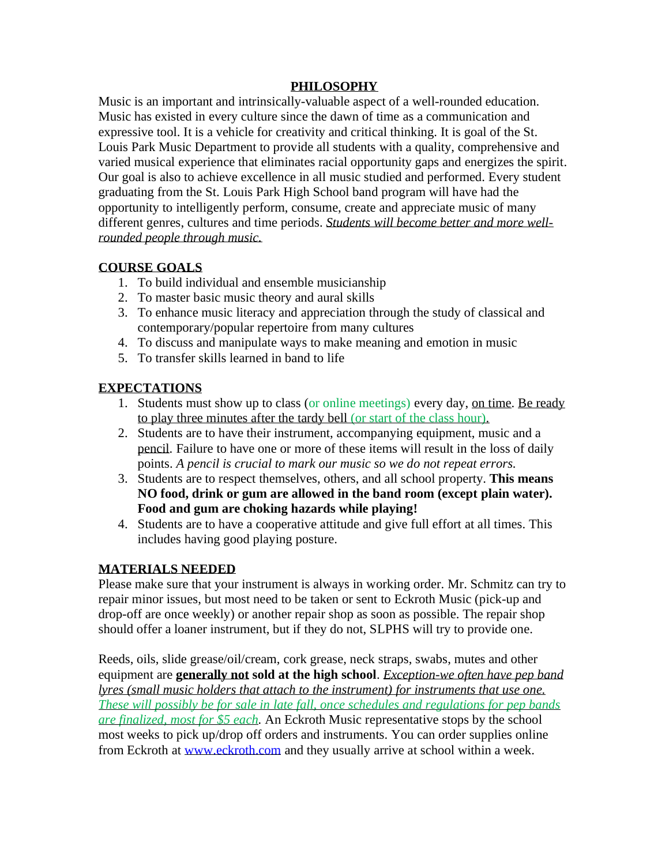# **PHILOSOPHY**

Music is an important and intrinsically-valuable aspect of a well-rounded education. Music has existed in every culture since the dawn of time as a communication and expressive tool. It is a vehicle for creativity and critical thinking. It is goal of the St. Louis Park Music Department to provide all students with a quality, comprehensive and varied musical experience that eliminates racial opportunity gaps and energizes the spirit. Our goal is also to achieve excellence in all music studied and performed. Every student graduating from the St. Louis Park High School band program will have had the opportunity to intelligently perform, consume, create and appreciate music of many different genres, cultures and time periods. *Students will become better and more wellrounded people through music.*

# **COURSE GOALS**

- 1. To build individual and ensemble musicianship
- 2. To master basic music theory and aural skills
- 3. To enhance music literacy and appreciation through the study of classical and contemporary/popular repertoire from many cultures
- 4. To discuss and manipulate ways to make meaning and emotion in music
- 5. To transfer skills learned in band to life

# **EXPECTATIONS**

- 1. Students must show up to class (or online meetings) every day, on time. Be ready to play three minutes after the tardy bell (or start of the class hour).
- 2. Students are to have their instrument, accompanying equipment, music and a pencil. Failure to have one or more of these items will result in the loss of daily points. *A pencil is crucial to mark our music so we do not repeat errors.*
- 3. Students are to respect themselves, others, and all school property. **This means NO food, drink or gum are allowed in the band room (except plain water). Food and gum are choking hazards while playing!**
- 4. Students are to have a cooperative attitude and give full effort at all times. This includes having good playing posture.

# **MATERIALS NEEDED**

Please make sure that your instrument is always in working order. Mr. Schmitz can try to repair minor issues, but most need to be taken or sent to Eckroth Music (pick-up and drop-off are once weekly) or another repair shop as soon as possible. The repair shop should offer a loaner instrument, but if they do not, SLPHS will try to provide one.

Reeds, oils, slide grease/oil/cream, cork grease, neck straps, swabs, mutes and other equipment are **generally not sold at the high school**. *Exception-we often have pep band lyres (small music holders that attach to the instrument) for instruments that use one. These will possibly be for sale in late fall, once schedules and regulations for pep bands are finalized, most for \$5 each.* An Eckroth Music representative stops by the school most weeks to pick up/drop off orders and instruments. You can order supplies online from Eckroth at [www.eckroth.com](http://www.eckroth.com/) and they usually arrive at school within a week.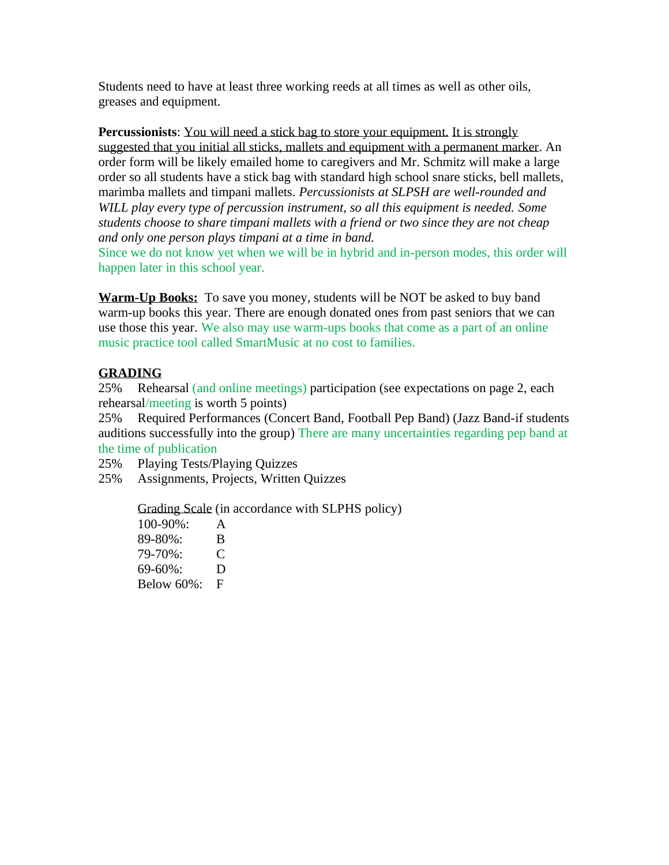Students need to have at least three working reeds at all times as well as other oils, greases and equipment.

**Percussionists**: You will need a stick bag to store your equipment. It is strongly suggested that you initial all sticks, mallets and equipment with a permanent marker. An order form will be likely emailed home to caregivers and Mr. Schmitz will make a large order so all students have a stick bag with standard high school snare sticks, bell mallets, marimba mallets and timpani mallets. *Percussionists at SLPSH are well-rounded and WILL play every type of percussion instrument, so all this equipment is needed. Some students choose to share timpani mallets with a friend or two since they are not cheap and only one person plays timpani at a time in band.*

Since we do not know yet when we will be in hybrid and in-person modes, this order will happen later in this school year.

**Warm-Up Books:** To save you money, students will be NOT be asked to buy band warm-up books this year. There are enough donated ones from past seniors that we can use those this year. We also may use warm-ups books that come as a part of an online music practice tool called SmartMusic at no cost to families.

# **GRADING**

25% Rehearsal (and online meetings) participation (see expectations on page 2, each rehearsal/meeting is worth 5 points)

25% Required Performances (Concert Band, Football Pep Band) (Jazz Band-if students auditions successfully into the group) There are many uncertainties regarding pep band at the time of publication

25% Playing Tests/Playing Quizzes

25% Assignments, Projects, Written Quizzes

Grading Scale (in accordance with SLPHS policy)

100-90%: A 89-80%: B 79-70%: C 69-60%: D Below 60%: F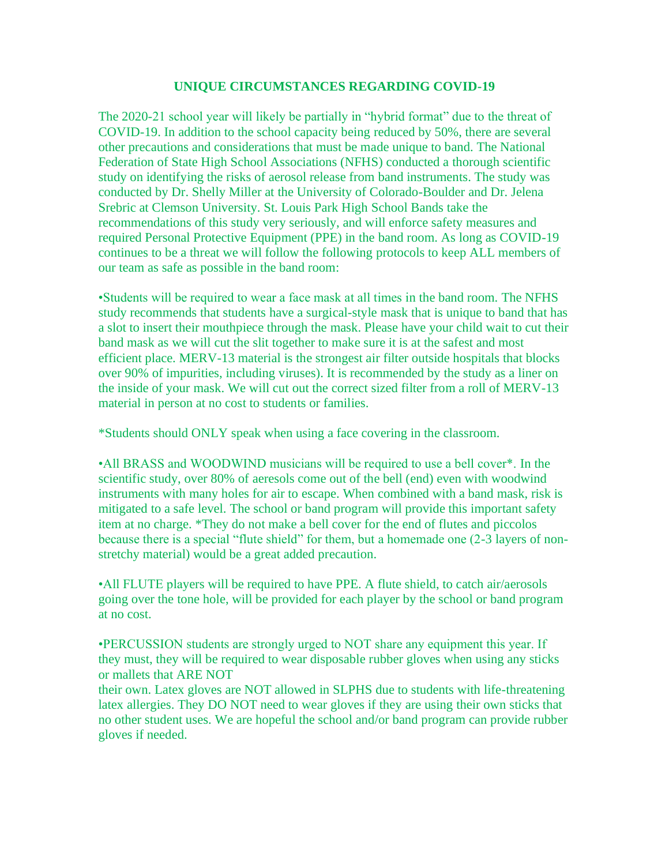### **UNIQUE CIRCUMSTANCES REGARDING COVID-19**

The 2020-21 school year will likely be partially in "hybrid format" due to the threat of COVID-19. In addition to the school capacity being reduced by 50%, there are several other precautions and considerations that must be made unique to band. The National Federation of State High School Associations (NFHS) conducted a thorough scientific study on identifying the risks of aerosol release from band instruments. The study was conducted by Dr. Shelly Miller at the University of Colorado-Boulder and Dr. Jelena Srebric at Clemson University. St. Louis Park High School Bands take the recommendations of this study very seriously, and will enforce safety measures and required Personal Protective Equipment (PPE) in the band room. As long as COVID-19 continues to be a threat we will follow the following protocols to keep ALL members of our team as safe as possible in the band room:

•Students will be required to wear a face mask at all times in the band room. The NFHS study recommends that students have a surgical-style mask that is unique to band that has a slot to insert their mouthpiece through the mask. Please have your child wait to cut their band mask as we will cut the slit together to make sure it is at the safest and most efficient place. MERV-13 material is the strongest air filter outside hospitals that blocks over 90% of impurities, including viruses). It is recommended by the study as a liner on the inside of your mask. We will cut out the correct sized filter from a roll of MERV-13 material in person at no cost to students or families.

\*Students should ONLY speak when using a face covering in the classroom.

•All BRASS and WOODWIND musicians will be required to use a bell cover\*. In the scientific study, over 80% of aeresols come out of the bell (end) even with woodwind instruments with many holes for air to escape. When combined with a band mask, risk is mitigated to a safe level. The school or band program will provide this important safety item at no charge. \*They do not make a bell cover for the end of flutes and piccolos because there is a special "flute shield" for them, but a homemade one (2-3 layers of nonstretchy material) would be a great added precaution.

•All FLUTE players will be required to have PPE. A flute shield, to catch air/aerosols going over the tone hole, will be provided for each player by the school or band program at no cost.

•PERCUSSION students are strongly urged to NOT share any equipment this year. If they must, they will be required to wear disposable rubber gloves when using any sticks or mallets that ARE NOT

their own. Latex gloves are NOT allowed in SLPHS due to students with life-threatening latex allergies. They DO NOT need to wear gloves if they are using their own sticks that no other student uses. We are hopeful the school and/or band program can provide rubber gloves if needed.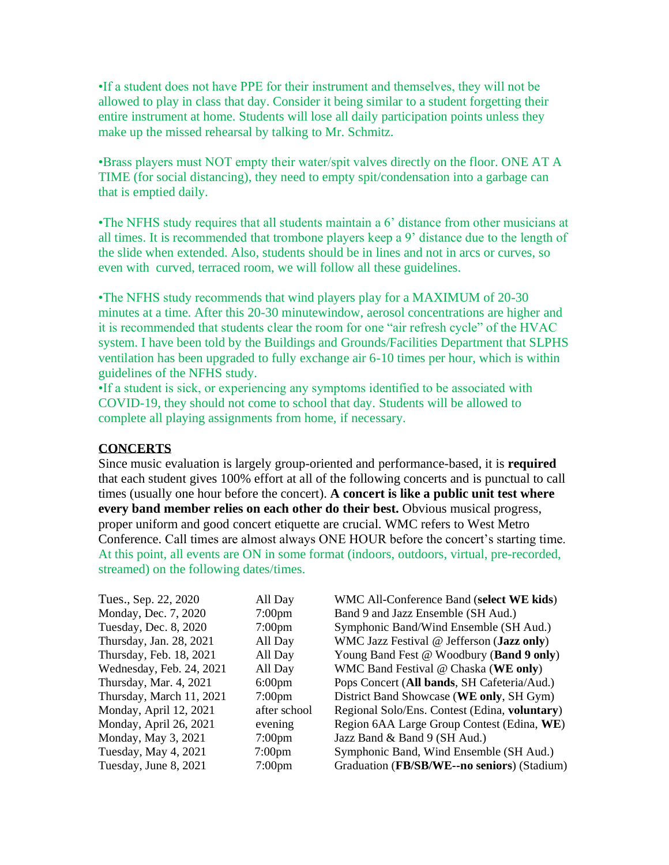•If a student does not have PPE for their instrument and themselves, they will not be allowed to play in class that day. Consider it being similar to a student forgetting their entire instrument at home. Students will lose all daily participation points unless they make up the missed rehearsal by talking to Mr. Schmitz.

•Brass players must NOT empty their water/spit valves directly on the floor. ONE AT A TIME (for social distancing), they need to empty spit/condensation into a garbage can that is emptied daily.

•The NFHS study requires that all students maintain a 6' distance from other musicians at all times. It is recommended that trombone players keep a 9' distance due to the length of the slide when extended. Also, students should be in lines and not in arcs or curves, so even with curved, terraced room, we will follow all these guidelines.

•The NFHS study recommends that wind players play for a MAXIMUM of 20-30 minutes at a time. After this 20-30 minutewindow, aerosol concentrations are higher and it is recommended that students clear the room for one "air refresh cycle" of the HVAC system. I have been told by the Buildings and Grounds/Facilities Department that SLPHS ventilation has been upgraded to fully exchange air 6-10 times per hour, which is within guidelines of the NFHS study.

•If a student is sick, or experiencing any symptoms identified to be associated with COVID-19, they should not come to school that day. Students will be allowed to complete all playing assignments from home, if necessary.

### **CONCERTS**

Since music evaluation is largely group-oriented and performance-based, it is **required** that each student gives 100% effort at all of the following concerts and is punctual to call times (usually one hour before the concert). **A concert is like a public unit test where every band member relies on each other do their best.** Obvious musical progress, proper uniform and good concert etiquette are crucial. WMC refers to West Metro Conference. Call times are almost always ONE HOUR before the concert's starting time. At this point, all events are ON in some format (indoors, outdoors, virtual, pre-recorded, streamed) on the following dates/times.

| Tues., Sep. 22, 2020     | All Day            | WMC All-Conference Band (select WE kids)      |
|--------------------------|--------------------|-----------------------------------------------|
| Monday, Dec. 7, 2020     | $7:00 \text{pm}$   | Band 9 and Jazz Ensemble (SH Aud.)            |
| Tuesday, Dec. 8, 2020    | $7:00 \text{pm}$   | Symphonic Band/Wind Ensemble (SH Aud.)        |
| Thursday, Jan. 28, 2021  | All Day            | WMC Jazz Festival @ Jefferson (Jazz only)     |
| Thursday, Feb. 18, 2021  | All Day            | Young Band Fest @ Woodbury (Band 9 only)      |
| Wednesday, Feb. 24, 2021 | All Day            | WMC Band Festival @ Chaska (WE only)          |
| Thursday, Mar. 4, 2021   | $6:00 \text{pm}$   | Pops Concert (All bands, SH Cafeteria/Aud.)   |
| Thursday, March 11, 2021 | $7:00 \text{pm}$   | District Band Showcase (WE only, SH Gym)      |
| Monday, April 12, 2021   | after school       | Regional Solo/Ens. Contest (Edina, voluntary) |
| Monday, April 26, 2021   | evening            | Region 6AA Large Group Contest (Edina, WE)    |
| Monday, May 3, 2021      | 7:00 <sub>pm</sub> | Jazz Band & Band 9 (SH Aud.)                  |
| Tuesday, May 4, 2021     | $7:00 \text{pm}$   | Symphonic Band, Wind Ensemble (SH Aud.)       |
| Tuesday, June 8, 2021    | $7:00$ pm          | Graduation (FB/SB/WE--no seniors) (Stadium)   |
|                          |                    |                                               |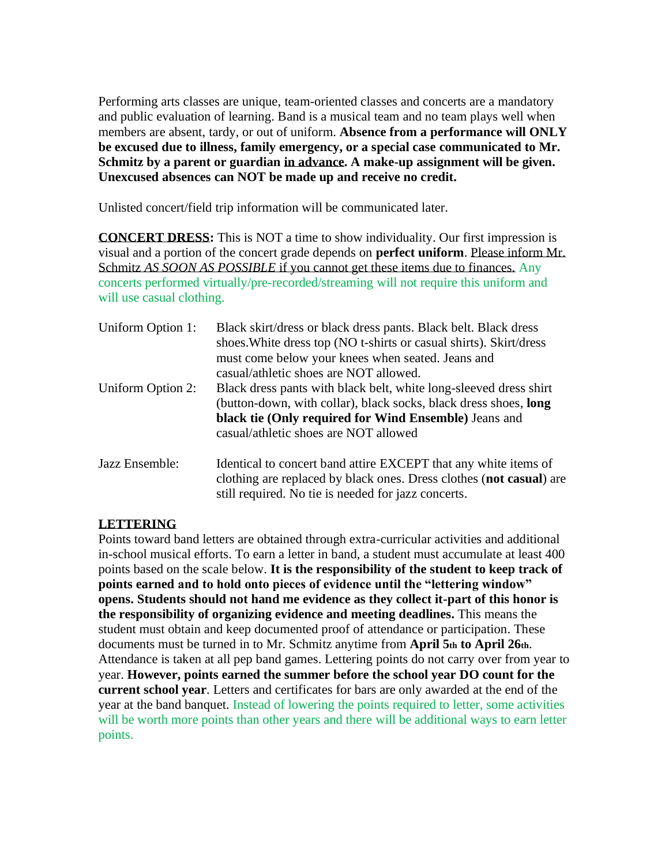Performing arts classes are unique, team-oriented classes and concerts are a mandatory and public evaluation of learning. Band is a musical team and no team plays well when members are absent, tardy, or out of uniform. **Absence from a performance will ONLY be excused due to illness, family emergency, or a special case communicated to Mr. Schmitz by a parent or guardian in advance. A make-up assignment will be given. Unexcused absences can NOT be made up and receive no credit.**

Unlisted concert/field trip information will be communicated later.

**CONCERT DRESS:** This is NOT a time to show individuality. Our first impression is visual and a portion of the concert grade depends on **perfect uniform**. Please inform Mr. Schmitz *AS SOON AS POSSIBLE* if you cannot get these items due to finances. Any concerts performed virtually/pre-recorded/streaming will not require this uniform and will use casual clothing.

| Uniform Option 1: | Black skirt/dress or black dress pants. Black belt. Black dress<br>shoes. White dress top (NO t-shirts or casual shirts). Skirt/dress<br>must come below your knees when seated. Jeans and<br>casual/athletic shoes are NOT allowed.    |
|-------------------|-----------------------------------------------------------------------------------------------------------------------------------------------------------------------------------------------------------------------------------------|
| Uniform Option 2: | Black dress pants with black belt, white long-sleeved dress shirt<br>(button-down, with collar), black socks, black dress shoes, long<br>black tie (Only required for Wind Ensemble) Jeans and<br>casual/athletic shoes are NOT allowed |
| Jazz Ensemble:    | Identical to concert band attire EXCEPT that any white items of<br>clothing are replaced by black ones. Dress clothes (not casual) are<br>still required. No tie is needed for jazz concerts.                                           |

# **LETTERING**

Points toward band letters are obtained through extra-curricular activities and additional in-school musical efforts. To earn a letter in band, a student must accumulate at least 400 points based on the scale below. **It is the responsibility of the student to keep track of points earned and to hold onto pieces of evidence until the "lettering window" opens. Students should not hand me evidence as they collect it-part of this honor is the responsibility of organizing evidence and meeting deadlines.** This means the student must obtain and keep documented proof of attendance or participation. These documents must be turned in to Mr. Schmitz anytime from **April 5th to April 26th**. Attendance is taken at all pep band games. Lettering points do not carry over from year to year. **However, points earned the summer before the school year DO count for the current school year**. Letters and certificates for bars are only awarded at the end of the year at the band banquet. Instead of lowering the points required to letter, some activities will be worth more points than other years and there will be additional ways to earn letter points.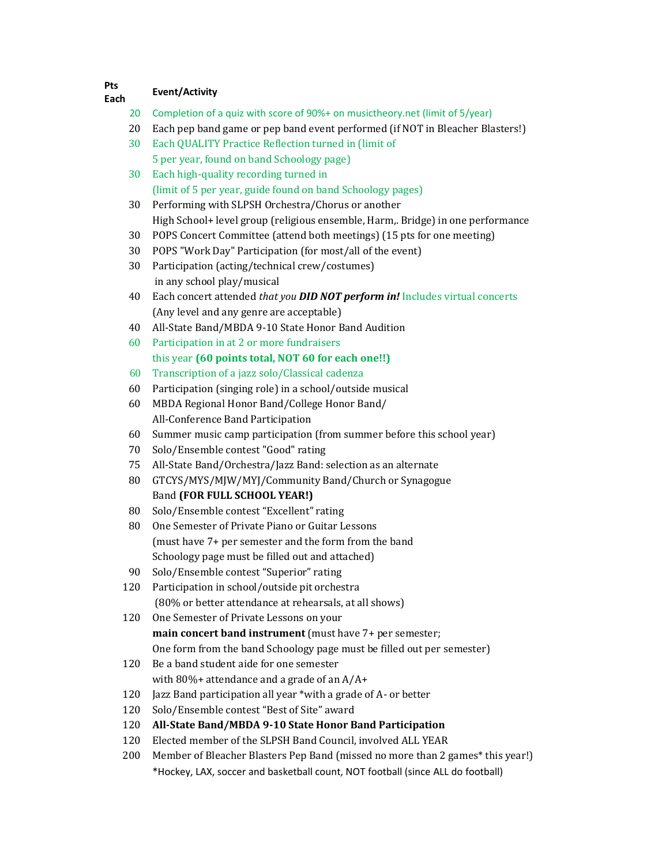#### **Pts Each Event/Activity**

- Completion of a quiz with score of 90%+ on musictheory.net (limit of 5/year)
- Each pep band game or pep band event performed (if NOT in Bleacher Blasters!)
- Each QUALITY Practice Reflection turned in (limit of 5 per year, found on band Schoology page)
- Each high-quality recording turned in (limit of 5 per year, guide found on band Schoology pages)
- Performing with SLPSH Orchestra/Chorus or another High School+ level group (religious ensemble, Harm,. Bridge) in one performance
- POPS Concert Committee (attend both meetings) (15 pts for one meeting)
- POPS "Work Day" Participation (for most/all of the event)
- Participation (acting/technical crew/costumes) in any school play/musical
- Each concert attended *that you DID NOT perform in!* Includes virtual concerts (Any level and any genre are acceptable)
- All-State Band/MBDA 9-10 State Honor Band Audition
- Participation in at 2 or more fundraisers this year **(60 points total, NOT 60 for each one!!)**
- Transcription of a jazz solo/Classical cadenza
- Participation (singing role) in a school/outside musical
- MBDA Regional Honor Band/College Honor Band/ All-Conference Band Participation
- Summer music camp participation (from summer before this school year)
- Solo/Ensemble contest "Good" rating
- All-State Band/Orchestra/Jazz Band: selection as an alternate
- GTCYS/MYS/MJW/MYJ/Community Band/Church or Synagogue Band **(FOR FULL SCHOOL YEAR!)**
- Solo/Ensemble contest "Excellent" rating
- One Semester of Private Piano or Guitar Lessons (must have 7+ per semester and the form from the band Schoology page must be filled out and attached)
- Solo/Ensemble contest "Superior" rating
- Participation in school/outside pit orchestra (80% or better attendance at rehearsals, at all shows)
- One Semester of Private Lessons on your **main concert band instrument** (must have 7+ per semester; One form from the band Schoology page must be filled out per semester)
- Be a band student aide for one semester with 80%+ attendance and a grade of an A/A+
- Jazz Band participation all year \*with a grade of A- or better
- Solo/Ensemble contest "Best of Site" award
- **All-State Band/MBDA 9-10 State Honor Band Participation**
- Elected member of the SLPSH Band Council, involved ALL YEAR
- Member of Bleacher Blasters Pep Band (missed no more than 2 games\* this year!) \*Hockey, LAX, soccer and basketball count, NOT football (since ALL do football)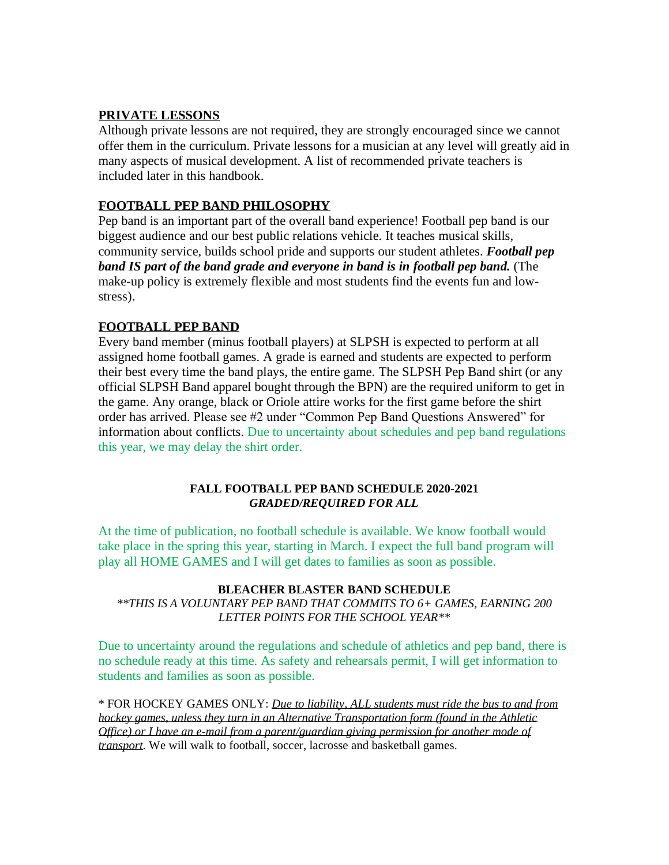# **PRIVATE LESSONS**

Although private lessons are not required, they are strongly encouraged since we cannot offer them in the curriculum. Private lessons for a musician at any level will greatly aid in many aspects of musical development. A list of recommended private teachers is included later in this handbook.

## **FOOTBALL PEP BAND PHILOSOPHY**

Pep band is an important part of the overall band experience! Football pep band is our biggest audience and our best public relations vehicle. It teaches musical skills, community service, builds school pride and supports our student athletes. *Football pep band IS part of the band grade and everyone in band is in football pep band.* (The make-up policy is extremely flexible and most students find the events fun and lowstress).

# **FOOTBALL PEP BAND**

Every band member (minus football players) at SLPSH is expected to perform at all assigned home football games. A grade is earned and students are expected to perform their best every time the band plays, the entire game. The SLPSH Pep Band shirt (or any official SLPSH Band apparel bought through the BPN) are the required uniform to get in the game. Any orange, black or Oriole attire works for the first game before the shirt order has arrived. Please see #2 under "Common Pep Band Questions Answered" for information about conflicts. Due to uncertainty about schedules and pep band regulations this year, we may delay the shirt order.

### **FALL FOOTBALL PEP BAND SCHEDULE 2020-2021** *GRADED/REQUIRED FOR ALL*

At the time of publication, no football schedule is available. We know football would take place in the spring this year, starting in March. I expect the full band program will play all HOME GAMES and I will get dates to families as soon as possible.

## **BLEACHER BLASTER BAND SCHEDULE**

*\*\*THIS IS A VOLUNTARY PEP BAND THAT COMMITS TO 6+ GAMES, EARNING 200 LETTER POINTS FOR THE SCHOOL YEAR\*\**

Due to uncertainty around the regulations and schedule of athletics and pep band, there is no schedule ready at this time. As safety and rehearsals permit, I will get information to students and families as soon as possible.

\* FOR HOCKEY GAMES ONLY: *Due to liability, ALL students must ride the bus to and from hockey games, unless they turn in an Alternative Transportation form (found in the Athletic Office) or I have an e-mail from a parent/guardian giving permission for another mode of transport*. We will walk to football, soccer, lacrosse and basketball games.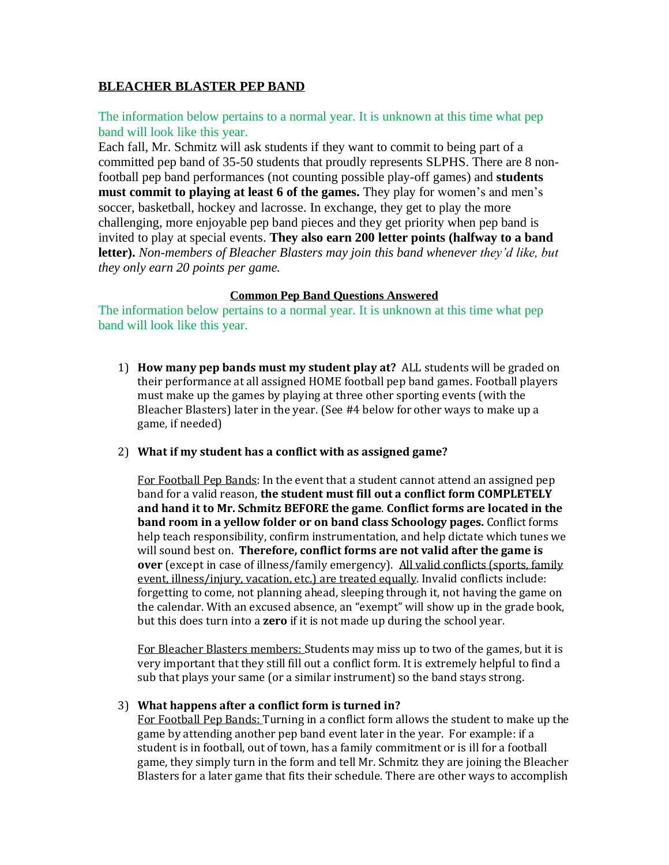# **BLEACHER BLASTER PEP BAND**

The information below pertains to a normal year. It is unknown at this time what pep band will look like this year.

Each fall, Mr. Schmitz will ask students if they want to commit to being part of a committed pep band of 35-50 students that proudly represents SLPHS. There are 8 nonfootball pep band performances (not counting possible play-off games) and **students must commit to playing at least 6 of the games.** They play for women's and men's soccer, basketball, hockey and lacrosse. In exchange, they get to play the more challenging, more enjoyable pep band pieces and they get priority when pep band is invited to play at special events. **They also earn 200 letter points (halfway to a band letter).** *Non-members of Bleacher Blasters may join this band whenever they'd like, but they only earn 20 points per game.*

### **Common Pep Band Questions Answered**

The information below pertains to a normal year. It is unknown at this time what pep band will look like this year.

- 1) **How many pep bands must my student play at?** ALL students will be graded on their performance at all assigned HOME football pep band games. Football players must make up the games by playing at three other sporting events (with the Bleacher Blasters) later in the year. (See #4 below for other ways to make up a game, if needed)
- 2) **What if my student has a conflict with as assigned game?**

For Football Pep Bands: In the event that a student cannot attend an assigned pep band for a valid reason, **the student must fill out a conflict form COMPLETELY and hand it to Mr. Schmitz BEFORE the game**. **Conflict forms are located in the band room in a yellow folder or on band class Schoology pages.** Conflict forms help teach responsibility, confirm instrumentation, and help dictate which tunes we will sound best on. **Therefore, conflict forms are not valid after the game is over** (except in case of illness/family emergency). All valid conflicts (sports, family event, illness/injury, vacation, etc.) are treated equally. Invalid conflicts include: forgetting to come, not planning ahead, sleeping through it, not having the game on the calendar. With an excused absence, an "exempt" will show up in the grade book, but this does turn into a **zero** if it is not made up during the school year.

For Bleacher Blasters members: Students may miss up to two of the games, but it is very important that they still fill out a conflict form. It is extremely helpful to find a sub that plays your same (or a similar instrument) so the band stays strong.

### 3) **What happens after a conflict form is turned in?**

For Football Pep Bands: Turning in a conflict form allows the student to make up the game by attending another pep band event later in the year. For example: if a student is in football, out of town, has a family commitment or is ill for a football game, they simply turn in the form and tell Mr. Schmitz they are joining the Bleacher Blasters for a later game that fits their schedule. There are other ways to accomplish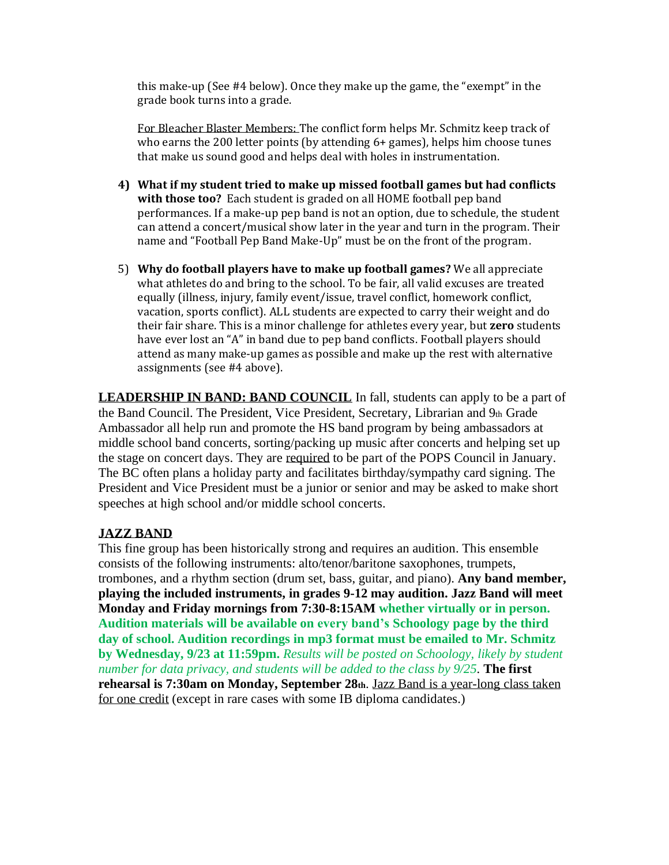this make-up (See #4 below). Once they make up the game, the "exempt" in the grade book turns into a grade.

For Bleacher Blaster Members: The conflict form helps Mr. Schmitz keep track of who earns the 200 letter points (by attending 6+ games), helps him choose tunes that make us sound good and helps deal with holes in instrumentation.

- **4) What if my student tried to make up missed football games but had conflicts with those too?** Each student is graded on all HOME football pep band performances. If a make-up pep band is not an option, due to schedule, the student can attend a concert/musical show later in the year and turn in the program. Their name and "Football Pep Band Make-Up" must be on the front of the program.
- 5) **Why do football players have to make up football games?** We all appreciate what athletes do and bring to the school. To be fair, all valid excuses are treated equally (illness, injury, family event/issue, travel conflict, homework conflict, vacation, sports conflict). ALL students are expected to carry their weight and do their fair share. This is a minor challenge for athletes every year, but **zero** students have ever lost an "A" in band due to pep band conflicts. Football players should attend as many make-up games as possible and make up the rest with alternative assignments (see #4 above).

**LEADERSHIP IN BAND: BAND COUNCIL** In fall, students can apply to be a part of the Band Council. The President, Vice President, Secretary, Librarian and 9th Grade Ambassador all help run and promote the HS band program by being ambassadors at middle school band concerts, sorting/packing up music after concerts and helping set up the stage on concert days. They are required to be part of the POPS Council in January. The BC often plans a holiday party and facilitates birthday/sympathy card signing. The President and Vice President must be a junior or senior and may be asked to make short speeches at high school and/or middle school concerts.

## **JAZZ BAND**

This fine group has been historically strong and requires an audition. This ensemble consists of the following instruments: alto/tenor/baritone saxophones, trumpets, trombones, and a rhythm section (drum set, bass, guitar, and piano). **Any band member, playing the included instruments, in grades 9-12 may audition. Jazz Band will meet Monday and Friday mornings from 7:30-8:15AM whether virtually or in person. Audition materials will be available on every band's Schoology page by the third day of school. Audition recordings in mp3 format must be emailed to Mr. Schmitz by Wednesday, 9/23 at 11:59pm.** *Results will be posted on Schoology, likely by student number for data privacy, and students will be added to the class by 9/25.* **The first rehearsal is 7:30am on Monday, September 28th**. Jazz Band is a year-long class taken for one credit (except in rare cases with some IB diploma candidates.)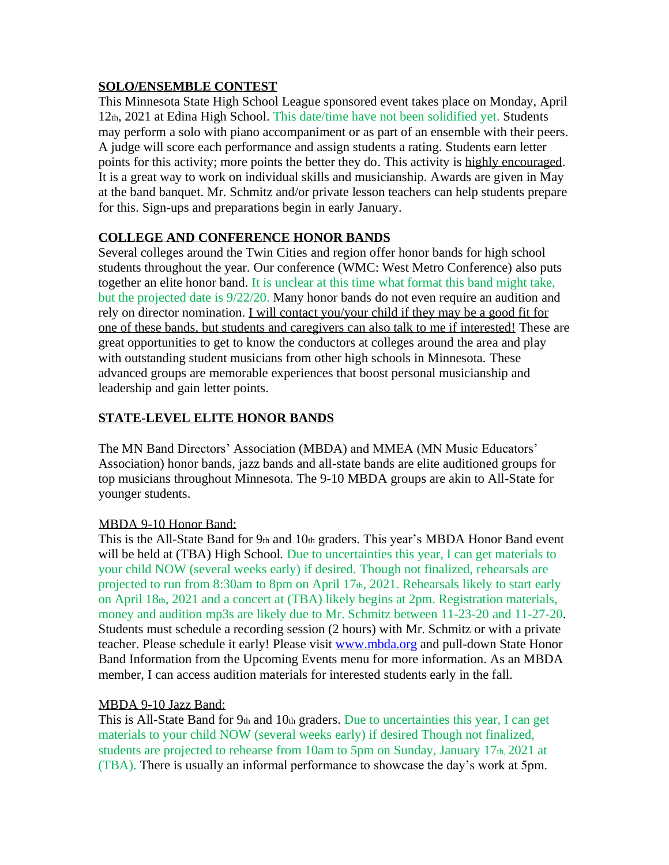# **SOLO/ENSEMBLE CONTEST**

This Minnesota State High School League sponsored event takes place on Monday, April 12th, 2021 at Edina High School. This date/time have not been solidified yet. Students may perform a solo with piano accompaniment or as part of an ensemble with their peers. A judge will score each performance and assign students a rating. Students earn letter points for this activity; more points the better they do. This activity is highly encouraged. It is a great way to work on individual skills and musicianship. Awards are given in May at the band banquet. Mr. Schmitz and/or private lesson teachers can help students prepare for this. Sign-ups and preparations begin in early January.

# **COLLEGE AND CONFERENCE HONOR BANDS**

Several colleges around the Twin Cities and region offer honor bands for high school students throughout the year. Our conference (WMC: West Metro Conference) also puts together an elite honor band. It is unclear at this time what format this band might take, but the projected date is 9/22/20. Many honor bands do not even require an audition and rely on director nomination. I will contact you/your child if they may be a good fit for one of these bands, but students and caregivers can also talk to me if interested! These are great opportunities to get to know the conductors at colleges around the area and play with outstanding student musicians from other high schools in Minnesota. These advanced groups are memorable experiences that boost personal musicianship and leadership and gain letter points.

# **STATE-LEVEL ELITE HONOR BANDS**

The MN Band Directors' Association (MBDA) and MMEA (MN Music Educators' Association) honor bands, jazz bands and all-state bands are elite auditioned groups for top musicians throughout Minnesota. The 9-10 MBDA groups are akin to All-State for younger students.

# MBDA 9-10 Honor Band:

This is the All-State Band for  $9<sub>th</sub>$  and  $10<sub>th</sub>$  graders. This year's MBDA Honor Band event will be held at (TBA) High School*.* Due to uncertainties this year, I can get materials to your child NOW (several weeks early) if desired. Though not finalized, rehearsals are projected to run from 8:30am to 8pm on April 17th, 2021. Rehearsals likely to start early on April 18th, 2021 and a concert at (TBA) likely begins at 2pm. Registration materials, money and audition mp3s are likely due to Mr. Schmitz between 11-23-20 and 11-27-20. Students must schedule a recording session (2 hours) with Mr. Schmitz or with a private teacher. Please schedule it early! Please visit [www.mbda.org](http://www.mbda.org/) and pull-down State Honor Band Information from the Upcoming Events menu for more information. As an MBDA member, I can access audition materials for interested students early in the fall.

## MBDA 9-10 Jazz Band:

This is All-State Band for  $9<sub>th</sub>$  and  $10<sub>th</sub>$  graders. Due to uncertainties this year, I can get materials to your child NOW (several weeks early) if desired Though not finalized, students are projected to rehearse from 10am to 5pm on Sunday, January 17th, 2021 at (TBA). There is usually an informal performance to showcase the day's work at 5pm.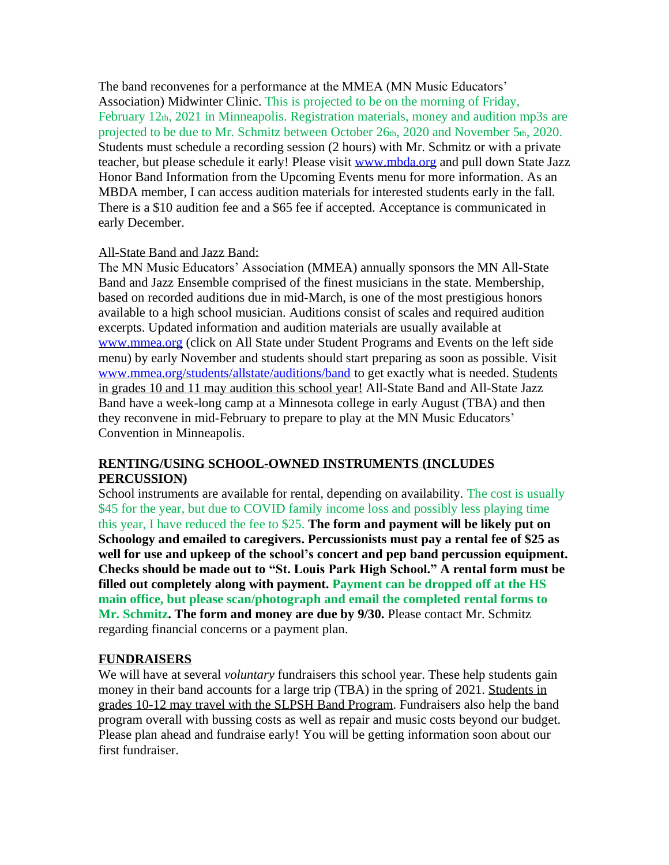The band reconvenes for a performance at the MMEA (MN Music Educators' Association) Midwinter Clinic. This is projected to be on the morning of Friday, February 12th, 2021 in Minneapolis. Registration materials, money and audition mp3s are projected to be due to Mr. Schmitz between October 26th, 2020 and November 5th, 2020. Students must schedule a recording session (2 hours) with Mr. Schmitz or with a private teacher, but please schedule it early! Please visit [www.mbda.org](http://www.mbda.org/) and pull down State Jazz Honor Band Information from the Upcoming Events menu for more information. As an MBDA member, I can access audition materials for interested students early in the fall. There is a \$10 audition fee and a \$65 fee if accepted. Acceptance is communicated in early December.

# All-State Band and Jazz Band:

The MN Music Educators' Association (MMEA) annually sponsors the MN All-State Band and Jazz Ensemble comprised of the finest musicians in the state. Membership, based on recorded auditions due in mid-March, is one of the most prestigious honors available to a high school musician. Auditions consist of scales and required audition excerpts. Updated information and audition materials are usually available at [www.mmea.org](http://www.mmea.org/) (click on All State under Student Programs and Events on the left side menu) by early November and students should start preparing as soon as possible. Visit [www.mmea.org/students/allstate/auditions/band](http://www.mmea.org/students/allstate/auditions/band) to get exactly what is needed. Students in grades 10 and 11 may audition this school year! All-State Band and All-State Jazz Band have a week-long camp at a Minnesota college in early August (TBA) and then they reconvene in mid-February to prepare to play at the MN Music Educators' Convention in Minneapolis.

# **RENTING/USING SCHOOL-OWNED INSTRUMENTS (INCLUDES PERCUSSION)**

School instruments are available for rental, depending on availability. The cost is usually \$45 for the year, but due to COVID family income loss and possibly less playing time this year, I have reduced the fee to \$25. **The form and payment will be likely put on Schoology and emailed to caregivers. Percussionists must pay a rental fee of \$25 as well for use and upkeep of the school's concert and pep band percussion equipment. Checks should be made out to "St. Louis Park High School." A rental form must be filled out completely along with payment. Payment can be dropped off at the HS main office, but please scan/photograph and email the completed rental forms to Mr. Schmitz. The form and money are due by 9/30.** Please contact Mr. Schmitz regarding financial concerns or a payment plan.

## **FUNDRAISERS**

We will have at several *voluntary* fundraisers this school year. These help students gain money in their band accounts for a large trip (TBA) in the spring of 2021. Students in grades 10-12 may travel with the SLPSH Band Program. Fundraisers also help the band program overall with bussing costs as well as repair and music costs beyond our budget. Please plan ahead and fundraise early! You will be getting information soon about our first fundraiser.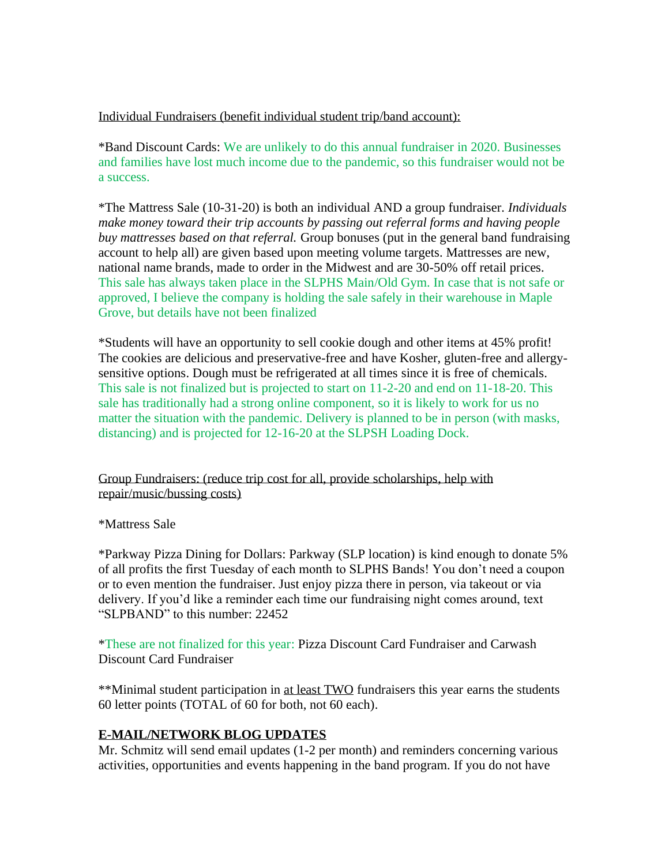Individual Fundraisers (benefit individual student trip/band account):

\*Band Discount Cards: We are unlikely to do this annual fundraiser in 2020. Businesses and families have lost much income due to the pandemic, so this fundraiser would not be a success.

\*The Mattress Sale (10-31-20) is both an individual AND a group fundraiser. *Individuals make money toward their trip accounts by passing out referral forms and having people buy mattresses based on that referral.* Group bonuses (put in the general band fundraising account to help all) are given based upon meeting volume targets. Mattresses are new, national name brands, made to order in the Midwest and are 30-50% off retail prices. This sale has always taken place in the SLPHS Main/Old Gym. In case that is not safe or approved, I believe the company is holding the sale safely in their warehouse in Maple Grove, but details have not been finalized

\*Students will have an opportunity to sell cookie dough and other items at 45% profit! The cookies are delicious and preservative-free and have Kosher, gluten-free and allergysensitive options. Dough must be refrigerated at all times since it is free of chemicals. This sale is not finalized but is projected to start on 11-2-20 and end on 11-18-20. This sale has traditionally had a strong online component, so it is likely to work for us no matter the situation with the pandemic. Delivery is planned to be in person (with masks, distancing) and is projected for 12-16-20 at the SLPSH Loading Dock.

# Group Fundraisers: (reduce trip cost for all, provide scholarships, help with repair/music/bussing costs)

\*Mattress Sale

\*Parkway Pizza Dining for Dollars: Parkway (SLP location) is kind enough to donate 5% of all profits the first Tuesday of each month to SLPHS Bands! You don't need a coupon or to even mention the fundraiser. Just enjoy pizza there in person, via takeout or via delivery. If you'd like a reminder each time our fundraising night comes around, text "SLPBAND" to this number: 22452

\*These are not finalized for this year: Pizza Discount Card Fundraiser and Carwash Discount Card Fundraiser

\*\*Minimal student participation in at least TWO fundraisers this year earns the students 60 letter points (TOTAL of 60 for both, not 60 each).

# **E-MAIL/NETWORK BLOG UPDATES**

Mr. Schmitz will send email updates (1-2 per month) and reminders concerning various activities, opportunities and events happening in the band program. If you do not have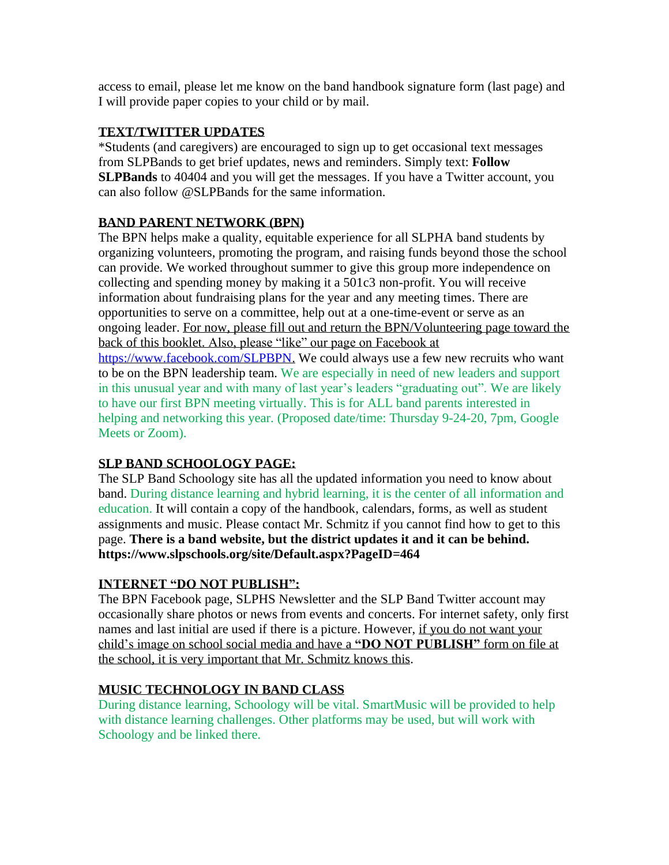access to email, please let me know on the band handbook signature form (last page) and I will provide paper copies to your child or by mail.

# **TEXT/TWITTER UPDATES**

\*Students (and caregivers) are encouraged to sign up to get occasional text messages from SLPBands to get brief updates, news and reminders. Simply text: **Follow SLPBands** to 40404 and you will get the messages. If you have a Twitter account, you can also follow @SLPBands for the same information.

# **BAND PARENT NETWORK (BPN)**

The BPN helps make a quality, equitable experience for all SLPHA band students by organizing volunteers, promoting the program, and raising funds beyond those the school can provide. We worked throughout summer to give this group more independence on collecting and spending money by making it a 501c3 non-profit. You will receive information about fundraising plans for the year and any meeting times. There are opportunities to serve on a committee, help out at a one-time-event or serve as an ongoing leader. For now, please fill out and return the BPN/Volunteering page toward the back of this booklet. Also, please "like" our page on Facebook at [https://www.facebook.com/SLPBPN.](https://www.facebook.com/SLPBPN) We could always use a few new recruits who want to be on the BPN leadership team. We are especially in need of new leaders and support

in this unusual year and with many of last year's leaders "graduating out". We are likely to have our first BPN meeting virtually. This is for ALL band parents interested in helping and networking this year. (Proposed date/time: Thursday 9-24-20, 7pm, Google Meets or Zoom).

# **SLP BAND SCHOOLOGY PAGE:**

The SLP Band Schoology site has all the updated information you need to know about band. During distance learning and hybrid learning, it is the center of all information and education. It will contain a copy of the handbook, calendars, forms, as well as student assignments and music. Please contact Mr. Schmitz if you cannot find how to get to this page. **There is a band website, but the district updates it and it can be behind. https://www.slpschools.org/site/Default.aspx?PageID=464**

# **INTERNET "DO NOT PUBLISH":**

The BPN Facebook page, SLPHS Newsletter and the SLP Band Twitter account may occasionally share photos or news from events and concerts. For internet safety, only first names and last initial are used if there is a picture. However, if you do not want your child's image on school social media and have a **"DO NOT PUBLISH"** form on file at the school, it is very important that Mr. Schmitz knows this.

# **MUSIC TECHNOLOGY IN BAND CLASS**

During distance learning, Schoology will be vital. SmartMusic will be provided to help with distance learning challenges. Other platforms may be used, but will work with Schoology and be linked there.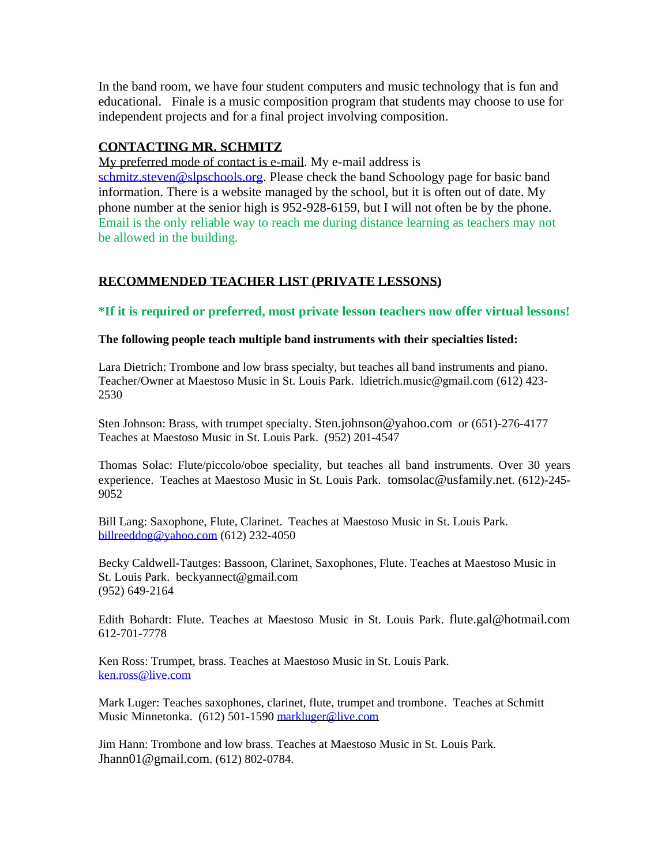In the band room, we have four student computers and music technology that is fun and educational. Finale is a music composition program that students may choose to use for independent projects and for a final project involving composition.

# **CONTACTING MR. SCHMITZ**

My preferred mode of contact is e-mail. My e-mail address is [schmitz.steven@slpschools.org.](mailto:schmitz.steven@slpschools.org) Please check the band Schoology page for basic band information. There is a website managed by the school, but it is often out of date. My phone number at the senior high is 952-928-6159, but I will not often be by the phone. Email is the only reliable way to reach me during distance learning as teachers may not be allowed in the building.

# **RECOMMENDED TEACHER LIST (PRIVATE LESSONS)**

**\*If it is required or preferred, most private lesson teachers now offer virtual lessons!**

## **The following people teach multiple band instruments with their specialties listed:**

Lara Dietrich: Trombone and low brass specialty, but teaches all band instruments and piano. Teacher/Owner at Maestoso Music in St. Louis Park. ldietrich.music@gmail.com (612) 423- 2530

Sten Johnson: Brass, with trumpet specialty. [Sten.johnson@yahoo.com](mailto:Sten.johnson@yahoo.com) or (651)-276-4177 Teaches at Maestoso Music in St. Louis Park. (952) 201-4547

Thomas Solac: Flute/piccolo/oboe speciality, but teaches all band instruments. Over 30 years experience. Teaches at Maestoso Music in St. Louis Park. [tomsolac@usfamily.net](mailto:tomsolac@usfamily.net). (612)-245- 9052

Bill Lang: Saxophone, Flute, Clarinet. Teaches at Maestoso Music in St. Louis Park. [billreeddog@yahoo.com](mailto:billreeddog@yahoo.com) (612) 232-4050

Becky Caldwell-Tautges: Bassoon, Clarinet, Saxophones, Flute. Teaches at Maestoso Music in St. Louis [Park. beckyannect@gmail.com](mailto:Park.%20%20beckyct@earthlink.net) (952) 649-2164

Edith Bohardt: Flute. Teaches at Maestoso Music in St. Louis Park. [flute.gal@hotmail.com](mailto:flute.gal@hotmail.com) 612-701-7778

Ken Ross: Trumpet, brass. Teaches at Maestoso Music in St. Louis Park. [ken.ross@live.com](mailto:ken.ross@live.com)

Mark Luger: Teaches saxophones, clarinet, flute, trumpet and trombone. Teaches at Schmitt Music Minnetonka. (612) 501-1590 [markluger@live.com](mailto:markluger@live.com)

Jim Hann: Trombone and low brass. Teaches at Maestoso Music in St. Louis Park. [Jhann01@gmail.com](mailto:Jhann01@gmail.com). (612) 802-0784.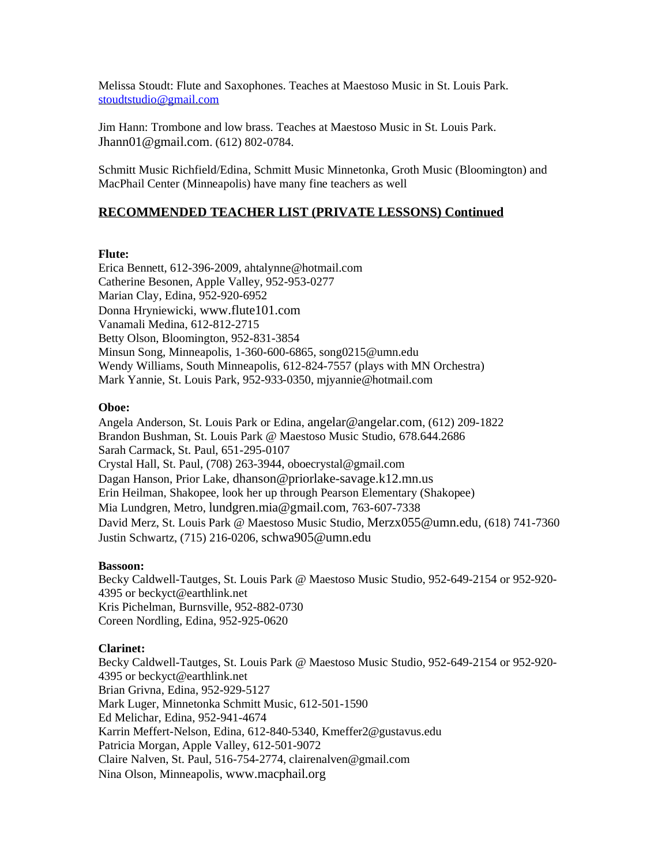Melissa Stoudt: Flute and Saxophones. Teaches at Maestoso Music in St. Louis Park. [stoudtstudio@gmail.com](mailto:stoudtstudio@gmail.com)

Jim Hann: Trombone and low brass. Teaches at Maestoso Music in St. Louis Park. [Jhann01@gmail.com](mailto:Jhann01@gmail.com). (612) 802-0784.

Schmitt Music Richfield/Edina, Schmitt Music Minnetonka, Groth Music (Bloomington) and MacPhail Center (Minneapolis) have many fine teachers as well

### **RECOMMENDED TEACHER LIST (PRIVATE LESSONS) Continued**

#### **Flute:**

Erica Bennett, 612-396-2009, ahtalynne@hotmail.com Catherine Besonen, Apple Valley, 952-953-0277 Marian Clay, Edina, 952-920-6952 Donna Hryniewicki, [www.flute101.com](http://www.flute101.com/) Vanamali Medina, 612-812-2715 Betty Olson, Bloomington, 952-831-3854 Minsun Song, Minneapolis, 1-360-600-6865, song0215@umn.edu Wendy Williams, South Minneapolis, 612-824-7557 (plays with MN Orchestra) Mark Yannie, St. Louis Park, 952-933-0350, mjyannie@hotmail.com

#### **Oboe:**

Angela Anderson, St. Louis Park or Edina, [angelar@angelar.com](mailto:angelar@angelar.com), (612) 209-1822 Brandon Bushman, St. Louis Park @ Maestoso Music Studio, 678.644.2686 Sarah Carmack, St. Paul, 651-295-0107 Crystal Hall, St. Paul, (708) 263-3944, [oboecrystal@gmail.com](mailto:crystalhall79@gmail.com) Dagan Hanson, Prior Lake, [dhanson@priorlake-savage.k12.mn.us](mailto:dhanson@priorlake-savage.k12.mn.us) Erin Heilman, Shakopee, look her up through Pearson Elementary (Shakopee) Mia Lundgren, Metro, [lundgren.mia@gmail.com](mailto:lundgren.mia@gmail.com), 763-607-7338 David Merz, St. Louis Park @ Maestoso Music Studio, [Merzx055@umn.edu](mailto:Merzx055@umn.edu), (618) 741-7360 Justin Schwartz, (715) 216-0206, [schwa905@umn.edu](mailto:schwa905@umn.edu)

#### **Bassoon:**

Becky Caldwell-Tautges, St. Louis Park @ Maestoso Music Studio, 952-649-2154 or 952-920- 4395 or beckyct@earthlink.net Kris Pichelman, Burnsville, 952-882-0730 Coreen Nordling, Edina, 952-925-0620

### **Clarinet:**

Becky Caldwell-Tautges, St. Louis Park @ Maestoso Music Studio, 952-649-2154 or 952-920- 4395 or beckyct@earthlink.net Brian Grivna, Edina, 952-929-5127 Mark Luger, Minnetonka Schmitt Music, 612-501-1590 Ed Melichar, Edina, 952-941-4674 Karrin Meffert-Nelson, Edina, 612-840-5340, Kmeffer2@gustavus.edu Patricia Morgan, Apple Valley, 612-501-9072 Claire Nalven, St. Paul, 516-754-2774, clairenalven@gmail.com Nina Olson, Minneapolis, [www.macphail.org](http://www.macphail.org/)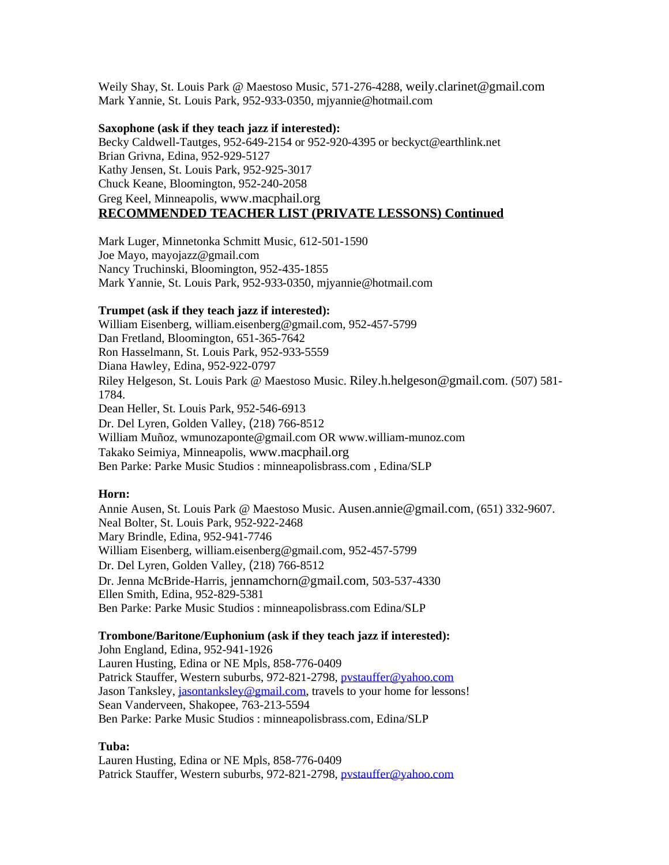Weily Shay, St. Louis Park @ Maestoso Music, 571-276-4288, [weily.clarinet@gmail.com](mailto:weily.clarinet@gmail.com) Mark Yannie, St. Louis Park, 952-933-0350, mjyannie@hotmail.com

#### **Saxophone (ask if they teach jazz if interested):**

Becky Caldwell-Tautges, 952-649-2154 or 952-920-4395 or beckyct@earthlink.net Brian Grivna, Edina, 952-929-5127 Kathy Jensen, St. Louis Park, 952-925-3017 Chuck Keane, Bloomington, 952-240-2058 Greg Keel, Minneapolis, [www.macphail.org](http://www.macphail.org/) **RECOMMENDED TEACHER LIST (PRIVATE LESSONS) Continued**

Mark Luger, Minnetonka Schmitt Music, 612-501-1590 Joe Mayo, mayojazz@gmail.com Nancy Truchinski, Bloomington, 952-435-1855 Mark Yannie, St. Louis Park, 952-933-0350, mjyannie@hotmail.com

#### **Trumpet (ask if they teach jazz if interested):**

William Eisenberg, [william.eisenberg@gmail.com,](mailto:william.eisenberg@gmail.com) 952-457-5799 Dan Fretland, Bloomington, 651-365-7642 Ron Hasselmann, St. Louis Park, 952-933-5559 Diana Hawley, Edina, 952-922-0797 Riley Helgeson, St. Louis Park @ Maestoso Music. [Riley.h.helgeson@gmail.com](mailto:Riley.h.helgeson@gmail.com). (507) 581- 1784. Dean Heller, St. Louis Park, 952-546-6913 Dr. Del Lyren, Golden Valley, (218) 766-8512 William Muñoz, [wmunozaponte@gmail.com](mailto:wmunozaponte@gmail.com) OR www.william-munoz.com Takako Seimiya, Minneapolis, [www.macphail.org](http://www.macphail.org/) Ben Parke: [Parke Music Studios : minneapolisbrass.com](http://www.minneapolisbrass.com/) , Edina/SLP

#### **Horn:**

Annie Ausen, St. Louis Park @ Maestoso Music. [Ausen.annie@gmail.com](mailto:Ausen.annie@gmail.com), (651) 332-9607. Neal Bolter, St. Louis Park, 952-922-2468 Mary Brindle, Edina, 952-941-7746 William Eisenberg, [william.eisenberg@gmail.com,](mailto:william.eisenberg@gmail.com) 952-457-5799 Dr. Del Lyren, Golden Valley, (218) 766-8512 Dr. Jenna McBride-Harris, [jennamchorn@gmail.com](mailto:jennamchorn@gmail.com), 503-537-4330 Ellen Smith, Edina, 952-829-5381 Ben Parke: [Parke Music Studios : minneapolisbrass.com](http://www.minneapolisbrass.com/) Edina/SLP

#### **Trombone/Baritone/Euphonium (ask if they teach jazz if interested):**

John England, Edina, 952-941-1926 Lauren Husting, Edina or NE Mpls, 858-776-0409 Patrick Stauffer, Western suburbs, 972-821-2798, pystauffer@yahoo.com Jason Tanksley, *jasontanksley@gmail.com*, travels to your home for lessons! Sean Vanderveen, Shakopee, 763-213-5594 Ben Parke: [Parke Music Studios : minneapolisbrass.com,](http://www.minneapolisbrass.com/) Edina/SLP

#### **Tuba:**

Lauren Husting, Edina or NE Mpls, 858-776-0409 Patrick Stauffer, Western suburbs, 972-821-2798, pystauffer@yahoo.com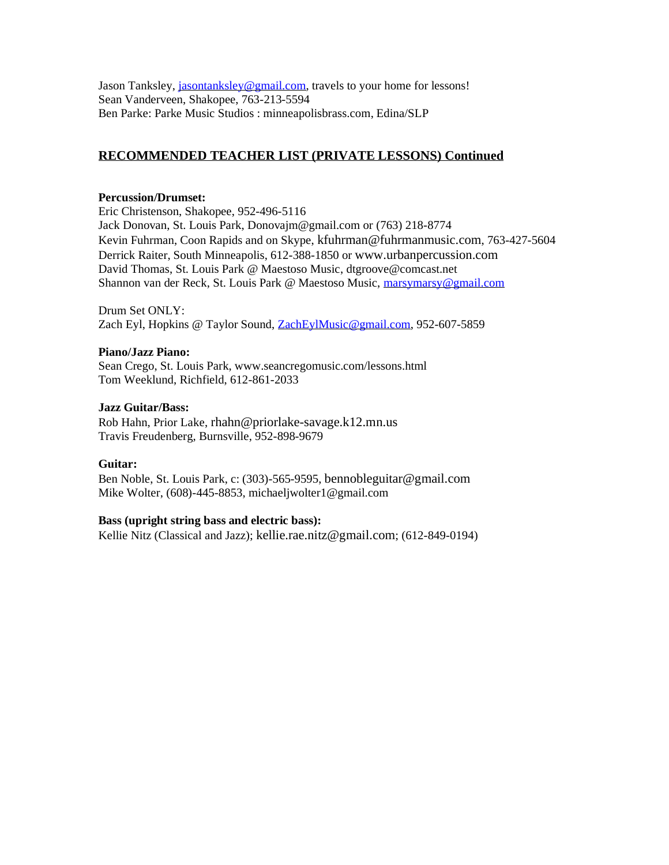Jason Tanksley, [jasontanksley@gmail.com,](mailto:jasontanksley@gmail.com) travels to your home for lessons! Sean Vanderveen, Shakopee, 763-213-5594 Ben Parke: [Parke Music Studios : minneapolisbrass.com,](http://www.minneapolisbrass.com/) Edina/SLP

# **RECOMMENDED TEACHER LIST (PRIVATE LESSONS) Continued**

### **Percussion/Drumset:**

Eric Christenson, Shakopee, 952-496-5116 Jack Donovan, St. Louis Park, [Donovajm@gmail.com](mailto:Donovajm@gmail.com) or [\(763\) 218-8774](tel:(763)%20218-8774) Kevin Fuhrman, Coon Rapids and on Skype, [kfuhrman@fuhrmanmusic.com](mailto:kfuhrman@fuhrmanmusic.com), 763-427-5604 Derrick Raiter, South Minneapolis, 612-388-1850 or [www.urbanpercussion.com](http://www.urbanpercussion.com/) David Thomas, St. Louis Park @ Maestoso Music, dtgroove@comcast.net Shannon van der Reck, St. Louis Park @ Maestoso Music, [marsymarsy@gmail.com](mailto:marsymarsy@gmail.com)

Drum Set ONLY: Zach Eyl, Hopkins @ Taylor Sound, [ZachEylMusic@gmail.com,](mailto:ZachEylMusic@gmail.com) 952-607-5859

### **Piano/Jazz Piano:**

Sean Crego, St. Louis Park[, www.seancregomusic.com/lessons.html](http://www.seancregomusic.com/lessons.html) Tom Weeklund, Richfield, 612-861-2033

### **Jazz Guitar/Bass:**

Rob Hahn, Prior Lake, [rhahn@priorlake-savage.k12.mn.us](mailto:rhahn@priorlake-savage.k12.mn.us) Travis Freudenberg, Burnsville, 952-898-9679

### **Guitar:**

Ben Noble, St. Louis Park, c: (303)-565-9595, [bennobleguitar@gmail.com](mailto:bennobleguitar@gmail.com) Mike Wolter, (608)-445-8853, michaeljwolter1@gmail.com

### **Bass (upright string bass and electric bass):**

Kellie Nitz (Classical and Jazz); [kellie.rae.nitz@gmail.com](mailto:kellie.rae.nitz@gmail.com); (612-849-0194)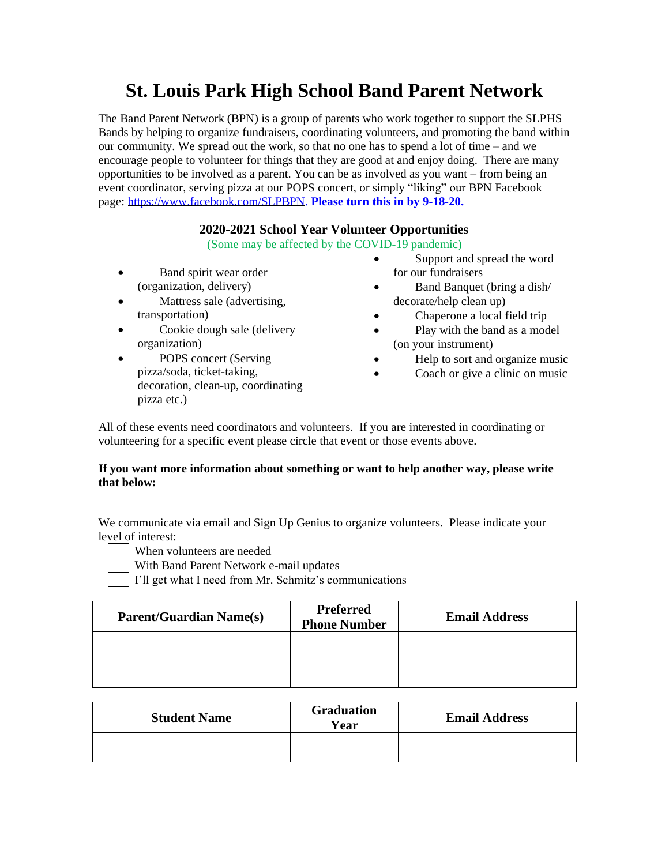# **St. Louis Park High School Band Parent Network**

The Band Parent Network (BPN) is a group of parents who work together to support the SLPHS Bands by helping to organize fundraisers, coordinating volunteers, and promoting the band within our community. We spread out the work, so that no one has to spend a lot of time – and we encourage people to volunteer for things that they are good at and enjoy doing. There are many opportunities to be involved as a parent. You can be as involved as you want – from being an event coordinator, serving pizza at our POPS concert, or simply "liking" our BPN Facebook page: [https://www.facebook.com/SLPBPN.](https://www.facebook.com/SLPBPN) **Please turn this in by 9-18-20.**

## **2020-2021 School Year Volunteer Opportunities**

(Some may be affected by the COVID-19 pandemic)

- Band spirit wear order (organization, delivery)
- Mattress sale (advertising, transportation)
- Cookie dough sale (delivery organization)
- POPS concert (Serving pizza/soda, ticket-taking, decoration, clean-up, coordinating pizza etc.)
- Support and spread the word for our fundraisers
- Band Banquet (bring a dish/ decorate/help clean up)
	- Chaperone a local field trip
- Play with the band as a model (on your instrument)
- Help to sort and organize music
- Coach or give a clinic on music

All of these events need coordinators and volunteers. If you are interested in coordinating or volunteering for a specific event please circle that event or those events above.

### **If you want more information about something or want to help another way, please write that below:**

We communicate via email and Sign Up Genius to organize volunteers. Please indicate your level of interest:

- - When volunteers are needed With Band Parent Network e-mail updates
	-
	- I'll get what I need from Mr. Schmitz's communications

| <b>Parent/Guardian Name(s)</b> | <b>Preferred</b><br><b>Phone Number</b> | <b>Email Address</b> |
|--------------------------------|-----------------------------------------|----------------------|
|                                |                                         |                      |
|                                |                                         |                      |

| <b>Student Name</b> | <b>Graduation</b><br>Year | <b>Email Address</b> |
|---------------------|---------------------------|----------------------|
|                     |                           |                      |